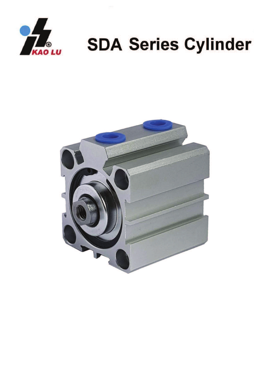

## **SDA Series Cylinder**

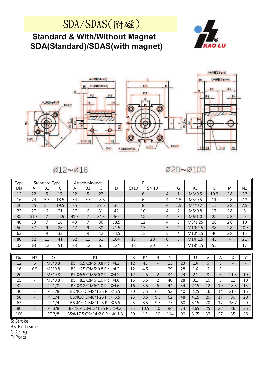## SDA/SDAS(附磁)

## **Standard & With/Without Magnet SDA(Standard)/SDAS(with magnet)**





Ø12~Ø16

Ø20~Ø100

| Type |                          | Standard Type  |           | Attach Magnet                                         |                |                                                       |                          | E              |                |                |                |                |           |        |      |                |      |
|------|--------------------------|----------------|-----------|-------------------------------------------------------|----------------|-------------------------------------------------------|--------------------------|----------------|----------------|----------------|----------------|----------------|-----------|--------|------|----------------|------|
| Dia  | A                        | <b>B1</b>      | $\subset$ | A                                                     | <b>B1</b>      | $\mathsf{C}$                                          | D                        | $S \leq 10$    |                | S > 10         | F              | G              | K1        |        |      | M              | N1   |
| 12   | 22                       | 5              | 17        | 32                                                    | 5              | 27                                                    |                          | 6              |                | $\overline{4}$ | $\mathbf{1}$   | $M3*0.5$       |           | 10.2   | 2.8  | 6.3            |      |
| 16   | 24                       | 5.5            | 18.5      | 34                                                    | 5.5            | 28.5                                                  | $\overline{\phantom{0}}$ | 6              |                | 4              | 1.5            | $M3*0.5$       |           | 11     | 2.8  | 7.3            |      |
| 20   | 25                       | 5.5            | 19.5      | 35                                                    | 5.5            | 29.5                                                  | 36                       | 8              |                | 4              | 1.5            | $M4*0.7$       |           | 15     | 2.8  | 7.5            |      |
| 25   | 27                       | 6              | 21        | 37                                                    | 6              | 31                                                    | 42                       | 10             |                | 4              | $\overline{2}$ | $M5*0.8$       |           | 17     | 2.8  | 8              |      |
| 32   | 31.5                     | $\overline{7}$ | 24.5      | 41.5                                                  | $\overline{7}$ | 34.5                                                  | 50                       | 12             |                | 4              | 3              | 22<br>$M6*1.0$ |           |        | 2.8  | 9              |      |
| 40   | 33                       | $\overline{7}$ | 26        | 43                                                    | 7              | 36                                                    | 58.5                     | 12             |                | 4              | 3              | M8*1.25        |           | 28     | 2.8  | 10             |      |
| 50   | 37                       | 9              | 28        | 47                                                    | $\mathsf{q}$   | 38                                                    | 71.5                     |                | 15             |                | 5              | $\overline{4}$ | $M10*1.5$ |        | 38   | 2.8            | 10.5 |
| 63   | 41                       | 9              | 32        | 51                                                    | 9              | 42                                                    | 84.5                     |                | 15             |                | 5              | 4              | $M10*1.5$ |        | 40   | 2.8            | 15   |
| 80   | 52                       | 11             | 41        | 62                                                    | 11             | 51                                                    | 104                      | 15             |                | 20             | 6              | 5              | $M14*1.5$ |        | 45   | $\overline{4}$ | 21   |
| 100  | 63                       | 12             | 51        | 73                                                    | 12             | 61                                                    | 124                      | 20<br>18       |                | 7              | 5              | $M18*1.5$      |           | 55     | 4    | 17             |      |
|      |                          |                |           |                                                       |                |                                                       |                          |                |                |                |                |                |           |        |      |                |      |
| Dia  | N <sub>3</sub>           |                | $\circ$   |                                                       |                | P1                                                    |                          | P <sub>3</sub> | P <sub>4</sub> | $\mathsf R$    | S.             | т              | $\cup$    | $\vee$ | W    | X              | Y    |
| 12   | 6                        | $M5*0.8$       |           | BS: $\Phi$ 6.5 C: M5 * 0.8 P: $\Phi$ 4.2              |                |                                                       | 12                       | 45             |                | 25             | 23             | 1.6            | 6         | 5      |      | -              |      |
| 16   | 6.5                      | $M5*0.8$       |           | $BS: \Phi 6.5 \text{ C}: M5*0.8 \text{ P} : \Phi 4.2$ |                |                                                       | 12                       | 4.5            |                | 29             | 28             | 1.6            | 6         | 5      |      |                |      |
| 20   |                          |                | $M5*0.8$  | $BS: \Phi 6.5 \text{ C}: M5*0.8 \text{ P}: \Phi 4.2$  |                |                                                       | 12                       | 4.5            | $\mathfrak{D}$ | 34             | 24             | 2.1            | 8         | 6      | 11.3 | 10             |      |
| 25   | ÷.                       |                | $M5*0.8$  | $BS: \Phi 8.2 \text{ C}: M6*1.0 \text{ P} : \Phi 4.6$ |                |                                                       | 15                       | 5.5            | $\mathfrak{D}$ | 40             | 28             | 3.1            | 10        | 8      | 12   | 10             |      |
| 32   | $\overline{\phantom{a}}$ |                | PT 1/8    |                                                       |                | $BS: \Phi 8.2 \text{ C}: M6*1.0 \text{ P} : \Phi 4.6$ |                          | 16             | 5.5            | 6              | 44             | 34             | 2.15      | 12     | 10   | 18.3           | 15   |
| 40   | $\sim$                   |                | PT 1/8    |                                                       |                | BS: $\Phi$ 10 C: M8*1.25 P: $\Phi$ 6.5                |                          | 20             | 7.5            | 6.5            | 52             | 40             | 2.25      | 16     | 14   | 21.3           | 16   |
| 50   |                          |                | PT 1/4    |                                                       |                | $BS: \Phi$ 10 C:M8*1.25 P: $\Phi$ 6.5                 |                          | 25             | 8.5            | 9.5            | 62             | 48             | 4.15      | 20     | 17   | 30             | 20   |
| 63   | $\overline{\phantom{a}}$ |                | PT 1/4    |                                                       |                | BS: Ф10 С: М8*1.25 Р: Ф6.5                            |                          | 25             | 8.5            | 9.5            | 75             | 60             | 3.15      | 20     | 17   | 28.7           | 20   |
| 80   | $\qquad \qquad -$        |                | PT 3/8    | BS: $\Phi$ 14 C: M12*1.75 P: $\Phi$ 9.2               |                |                                                       |                          | 25             | 10.5           | 10             | 94             | 74             | 3.65      | 25     | 22   | 36             | 26   |
| 100  | $\overline{\phantom{a}}$ |                | PT 3/8    |                                                       |                | $BS:\phi$ 17.5 C:M14*2.0 P: $\phi$ 11.3               |                          | 30             | 13             | 10             | 114            | 90             | 3.65      | 32     | 27   | 35             | 26   |

S: Stroke

**BS: Both sides** 

C: Cong

P: Ports